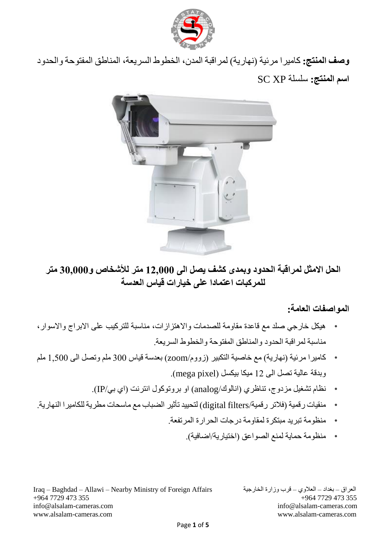

**وصف المنتج:** كاميرا مرئية )نهارية( لمراقبة المدن، الخطوط السريعة، المناطق المفتوحة والحدود **اسم المنتج:** سلسلة XP SC



## **الحل االمثل لمراقبة الحدود وبمدى كشف يصل الى 12,000 متر لألشخاص و30,000 متر للمركبات اعتمادا على خيارات قياس العدسة**

### **المواصفات العامة:**

- هيكل خارجي صلد مع قاعدة مقاومة للصدمات واالهتزازات، مناسبة للتركيب على االبراج واالسوار، مناسبة لمراقبة الحدود والمناطق المفتوحة والخطوط السريعة.
- كاميرا مرئية )نهارية( مع خاصية التكبير )زووم/zoom )بعدسة قياس 300 ملم وتصل الى 1,500 ملم وبدقة عالية تصل الى 12 ميكا بيكسل (mega pixel).
	- نظام تشغيل مزدوج، تناظري )انالوك/analog )او بروتوكول انترنت )اي بي/IP).
- منقيات رقمية )فالتر رقمية/filters digital )لتحييد تأثير الضباب مع ماسحات مطرية للكاميرا النهارية.
	- منظومة تبريد مبتكرة لمقاومة درجات الحرارة المرتفعة.
		- منظومة حماية لمنع الصواعق (اختيارية/اضافية).

Iraq – Baghdad – Allawi – Nearby Ministry of Foreign Affairs الخارجية وزارة قرب – العالوي – بغداد – العراق +964 7729 473 355 +964 7729 473 355 [info@alsalam-cameras.com](mailto:info@alsalam-cameras.com) [info@alsalam-cameras.com](mailto:info@alsalam-cameras.com) [www.alsalam-cameras.com](http://www.alsalam-cameras.com/) www.alsalam-cameras.com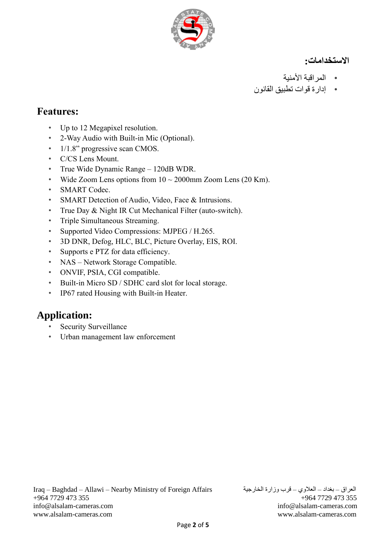

**االستخدامات:**

- المراقبة األمنية
- إدارة قوات تطبيق القانون

## **Features:**

- Up to 12 Megapixel resolution.
- 2-Way Audio with Built-in Mic (Optional) .
- $1/1.8$ " progressive scan CMOS.
- C/CS Lens Mount.
- True Wide Dynamic Range 120dB WDR .
- Wide Zoom Lens options from  $10 \sim 2000$ mm Zoom Lens (20 Km).
- SMART Codec.
- SMART Detection of Audio, Video, Face & Intrusions.
- True Day & Night IR Cut Mechanical Filter (auto-switch).
- Triple Simultaneous Streaming.
- Supported Video Compressions: MJPEG / H.265 .
- 3D DNR, Defog, HLC, BLC, Picture Overlay, EIS, ROI.
- Supports e PTZ for data efficiency.
- NAS Network Storage Compatible.
- ONVIF, PSIA, CGI compatible.
- Built-in Micro SD / SDHC card slot for local storage.
- IP67 rated Housing with Built-in Heater.

# **Application:**

- Security Surveillance
- Urban management law enforcement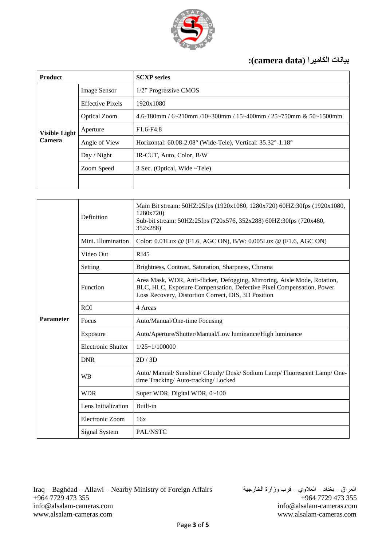

### **بيانات الكاميرا )data camera):**

| <b>Product</b>                        |                         | <b>SCXP</b> series                                                                 |
|---------------------------------------|-------------------------|------------------------------------------------------------------------------------|
| <b>Visible Light</b><br><b>Camera</b> | <b>Image Sensor</b>     | 1/2" Progressive CMOS                                                              |
|                                       | <b>Effective Pixels</b> | 1920x1080                                                                          |
|                                       | <b>Optical Zoom</b>     | $4.6$ -180mm / $6$ ~210mm /10~300mm / 15~400mm / 25~750mm & 50~1500mm              |
|                                       | Aperture                | $F1.6-F4.8$                                                                        |
|                                       | Angle of View           | Horizontal: $60.08 - 2.08^\circ$ (Wide-Tele), Vertical: $35.32^\circ - 1.18^\circ$ |
|                                       | Day / Night             | IR-CUT, Auto, Color, B/W                                                           |
|                                       | Zoom Speed              | 3 Sec. (Optical, Wide ~Tele)                                                       |
|                                       |                         |                                                                                    |

| <b>Parameter</b> | Definition                | Main Bit stream: 50HZ:25fps (1920x1080, 1280x720) 60HZ:30fps (1920x1080,<br>1280x720)<br>Sub-bit stream: 50HZ:25fps (720x576, 352x288) 60HZ:30fps (720x480,<br>352x288)                                  |
|------------------|---------------------------|----------------------------------------------------------------------------------------------------------------------------------------------------------------------------------------------------------|
|                  | Mini. Illumination        | Color: 0.01Lux $\omega$ (F1.6, AGC ON), B/W: 0.005Lux $\omega$ (F1.6, AGC ON)                                                                                                                            |
|                  | Video Out                 | <b>RJ45</b>                                                                                                                                                                                              |
|                  | Setting                   | Brightness, Contrast, Saturation, Sharpness, Chroma                                                                                                                                                      |
|                  | Function                  | Area Mask, WDR, Anti-flicker, Defogging, Mirroring, Aisle Mode, Rotation,<br>BLC, HLC, Exposure Compensation, Defective Pixel Compensation, Power<br>Loss Recovery, Distortion Correct, DIS, 3D Position |
|                  | <b>ROI</b>                | 4 Areas                                                                                                                                                                                                  |
|                  | Focus                     | Auto/Manual/One-time Focusing                                                                                                                                                                            |
|                  | Exposure                  | Auto/Aperture/Shutter/Manual/Low luminance/High luminance                                                                                                                                                |
|                  | <b>Electronic Shutter</b> | $1/25 \sim 1/100000$                                                                                                                                                                                     |
|                  | <b>DNR</b>                | 2D/3D                                                                                                                                                                                                    |
|                  | <b>WB</b>                 | Auto/ Manual/ Sunshine/ Cloudy/ Dusk/ Sodium Lamp/ Fluorescent Lamp/ One-<br>time Tracking/Auto-tracking/Locked                                                                                          |
|                  | <b>WDR</b>                | Super WDR, Digital WDR, 0~100                                                                                                                                                                            |
|                  | Lens Initialization       | Built-in                                                                                                                                                                                                 |
|                  | Electronic Zoom           | 16x                                                                                                                                                                                                      |
|                  | <b>Signal System</b>      | PAL/NSTC                                                                                                                                                                                                 |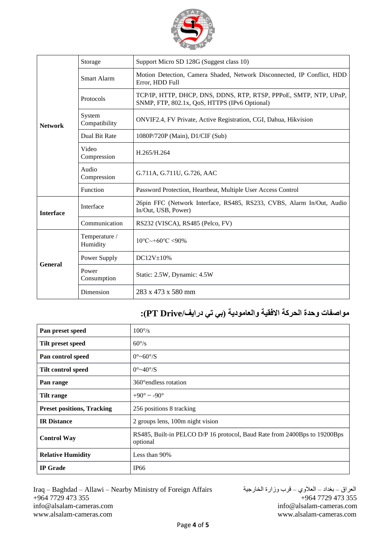

| <b>Network</b>   | Storage                   | Support Micro SD 128G (Suggest class 10)                                                                           |
|------------------|---------------------------|--------------------------------------------------------------------------------------------------------------------|
|                  | Smart Alarm               | Motion Detection, Camera Shaded, Network Disconnected, IP Conflict, HDD<br>Error, HDD Full                         |
|                  | Protocols                 | TCP/IP, HTTP, DHCP, DNS, DDNS, RTP, RTSP, PPPoE, SMTP, NTP, UPnP,<br>SNMP, FTP, 802.1x, QoS, HTTPS (IPv6 Optional) |
|                  | System<br>Compatibility   | ONVIF2.4, FV Private, Active Registration, CGI, Dahua, Hikvision                                                   |
|                  | Dual Bit Rate             | 1080P/720P (Main), D1/CIF (Sub)                                                                                    |
|                  | Video<br>Compression      | H.265/H.264                                                                                                        |
|                  | Audio<br>Compression      | G.711A, G.711U, G.726, AAC                                                                                         |
|                  | Function                  | Password Protection, Heartbeat, Multiple User Access Control                                                       |
| <b>Interface</b> | Interface                 | 26pin FFC (Network Interface, RS485, RS233, CVBS, Alarm In/Out, Audio<br>In/Out, USB, Power)                       |
|                  | Communication             | RS232 (VISCA), RS485 (Pelco, FV)                                                                                   |
| <b>General</b>   | Temperature /<br>Humidity | $10^{\circ}$ C $\sim$ +60 $^{\circ}$ C $\lt$ 90%                                                                   |
|                  | Power Supply              | DC12V±10%                                                                                                          |
|                  | Power<br>Consumption      | Static: 2.5W, Dynamic: 4.5W                                                                                        |
|                  | Dimension                 | $283 \times 473 \times 580$ mm                                                                                     |

# **مواصفات وحدة الحركة االفقية والعامودية )بي تي درايف/Drive PT):**

| Pan preset speed                  | $100^{\circ}/s$                                                                       |
|-----------------------------------|---------------------------------------------------------------------------------------|
| Tilt preset speed                 | $60^{\circ}/s$                                                                        |
| Pan control speed                 | $0^{\circ}$ ~60 $^{\circ}$ /S                                                         |
| <b>Tilt control speed</b>         | $0^{\circ}$ ~40 $^{\circ}$ /S                                                         |
| Pan range                         | 360° endless rotation                                                                 |
| Tilt range                        | $+90^{\circ} \sim -90^{\circ}$                                                        |
| <b>Preset positions, Tracking</b> | 256 positions 8 tracking                                                              |
| <b>IR Distance</b>                | 2 groups lens, 100m night vision                                                      |
| <b>Control Way</b>                | RS485, Built-in PELCO D/P 16 protocol, Baud Rate from 2400Bps to 19200Bps<br>optional |
| <b>Relative Humidity</b>          | Less than 90%                                                                         |
| <b>IP</b> Grade                   | <b>IP66</b>                                                                           |

Iraq – Baghdad – Allawi – Nearby Ministry of Foreign Affairs الخارجية وزارة قرب – العالوي – بغداد – العراق +964 7729 473 355 +964 7729 473 355 [info@alsalam-cameras.com](mailto:info@alsalam-cameras.com) [info@alsalam-cameras.com](mailto:info@alsalam-cameras.com) [www.alsalam-cameras.com](http://www.alsalam-cameras.com/) www.alsalam-cameras.com